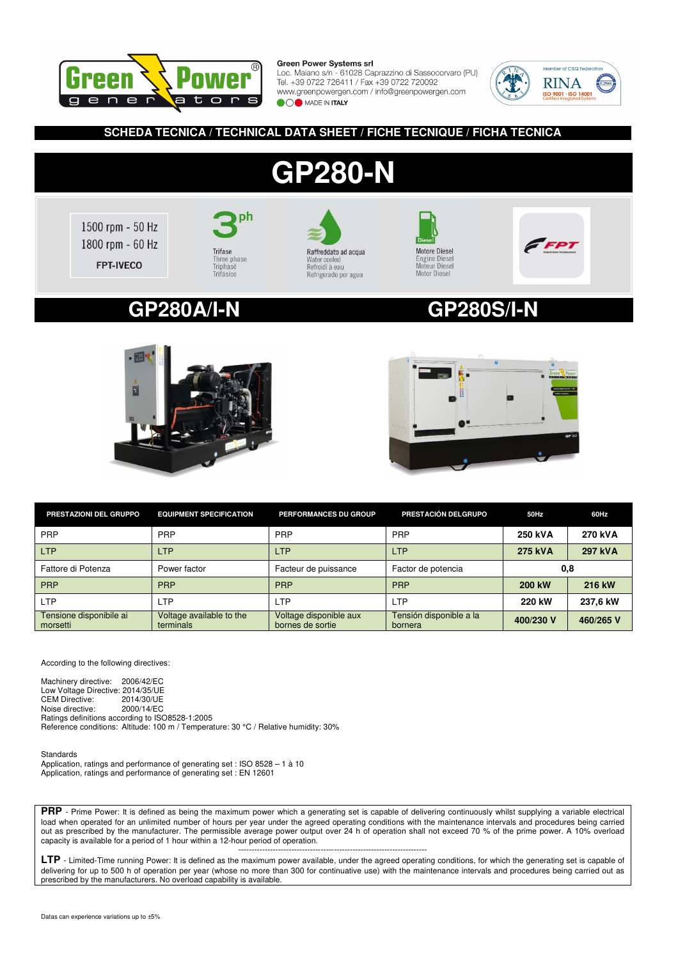

Loc. Maiano s/n - 61028 Caprazzino di Sassocorvaro (PU) Tel. +39 0722 726411 / Fax +39 0722 720092 www.greenpowergen.com / info@greenpowergen.com **OO** MADE IN ITALY



## **SCHEDA TECNICA / TECHNICAL DATA SHEET / FICHE TECNIQUE / FICHA TECNICA**

# **GP280-N**











## **GP280A/I-N GP280S/I-N**







| PRESTAZIONI DEL GRUPPO              | <b>EQUIPMENT SPECIFICATION</b>        | PERFORMANCES DU GROUP                      | PRESTACIÓN DELGRUPO                | 50Hz          | 60Hz      |
|-------------------------------------|---------------------------------------|--------------------------------------------|------------------------------------|---------------|-----------|
| <b>PRP</b>                          | <b>PRP</b>                            | <b>PRP</b>                                 | <b>PRP</b>                         | 250 kVA       | 270 kVA   |
| <b>LTP</b>                          | <b>LTP</b>                            | <b>LTP</b>                                 | <b>LTP</b>                         | 275 kVA       | 297 kVA   |
| Fattore di Potenza                  | Power factor                          | Facteur de puissance                       | Factor de potencia                 | 0.8           |           |
| <b>PRP</b>                          | <b>PRP</b>                            | <b>PRP</b>                                 | <b>PRP</b>                         | <b>200 kW</b> | 216 kW    |
| <b>LTP</b>                          | LTP                                   | LTP                                        | <b>LTP</b>                         | 220 kW        | 237.6 kW  |
| Tensione disponibile ai<br>morsetti | Voltage available to the<br>terminals | Voltage disponible aux<br>bornes de sortie | Tensión disponible a la<br>bornera | 400/230 V     | 460/265 V |

According to the following directives:

Machinery directive: 2006/42/EC Low Voltage Directive: 2014/35/UE<br>CEM Directive: 2014/30/UE CEM Directive: 2014/30/UE<br>Noise directive: 2000/14/EC Noise directive: Ratings definitions according to ISO8528-1:2005 Reference conditions: Altitude: 100 m / Temperature: 30 °C / Relative humidity: 30%

Standards Application, ratings and performance of generating set : ISO 8528 – 1 à 10 Application, ratings and performance of generating set : EN 12601

**PRP** - Prime Power: It is defined as being the maximum power which a generating set is capable of delivering continuously whilst supplying a variable electrical load when operated for an unlimited number of hours per year under the agreed operating conditions with the maintenance intervals and procedures being carried out as prescribed by the manufacturer. The permissible average power output over 24 h of operation shall not exceed 70 % of the prime power. A 10% overload capacity is available for a period of 1 hour within a 12-hour period of operation.

----------------------------------------------------------------------- **LTP** - Limited-Time running Power: It is defined as the maximum power available, under the agreed operating conditions, for which the generating set is capable of delivering for up to 500 h of operation per year (whose no more than 300 for continuative use) with the maintenance intervals and procedures being carried out as prescribed by the manufacturers. No overload capability is available.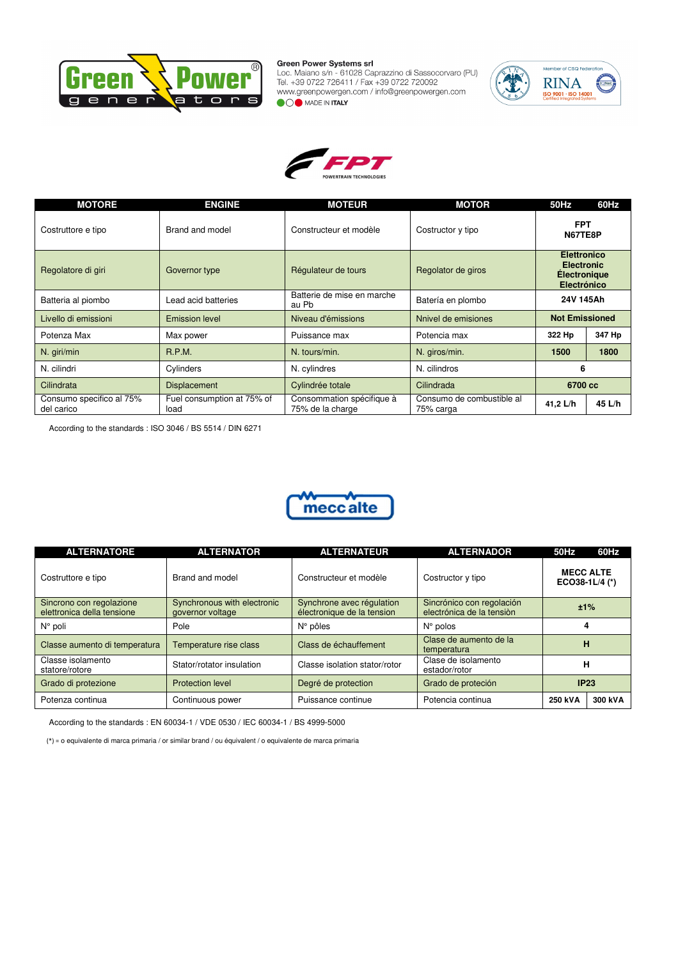

Green Power Systems sri<br>Loc. Maiano s/n - 61028 Caprazzino di Sassocorvaro (PU)<br>Tel. +39 0722 726411 / Fax +39 0722 720092<br>www.greenpowergen.com / info@greenpowergen.com **OOO** MADE IN ITALY





| <b>MOTORE</b>                          | <b>ENGINE</b>                      | <b>MOTEUR</b>                                 | <b>MOTOR</b>                           | 50Hz                                                                          | 60Hz   |
|----------------------------------------|------------------------------------|-----------------------------------------------|----------------------------------------|-------------------------------------------------------------------------------|--------|
| Costruttore e tipo                     | Brand and model                    | Constructeur et modèle                        | Costructor y tipo                      | <b>FPT</b><br>N67TE8P                                                         |        |
| Regolatore di giri                     | Governor type                      | Régulateur de tours                           | Regolator de giros                     | <b>Elettronico</b><br><b>Electronic</b><br><b>Électronique</b><br>Electrónico |        |
| Batteria al piombo                     | Lead acid batteries                | Batterie de mise en marche<br>au Pb           | Batería en plombo                      | 24V 145Ah                                                                     |        |
| Livello di emissioni                   | Emission level                     | Niveau d'émissions                            | Nnivel de emisiones                    | <b>Not Emissioned</b>                                                         |        |
| Potenza Max                            | Max power                          | Puissance max                                 | Potencia max                           | 322 Hp                                                                        | 347 Hp |
| N. giri/min                            | <b>R.P.M.</b>                      | N. tours/min.                                 | N. giros/min.                          | 1500                                                                          | 1800   |
| N. cilindri                            | Cylinders                          | N. cylindres                                  | N. cilindros                           | 6                                                                             |        |
| Cilindrata                             | <b>Displacement</b>                | Cylindrée totale                              | Cilindrada                             | 6700 cc                                                                       |        |
| Consumo specifico al 75%<br>del carico | Fuel consumption at 75% of<br>load | Consommation spécifique à<br>75% de la charge | Consumo de combustible al<br>75% carga | 41,2 L/h                                                                      | 45 L/h |

According to the standards : ISO 3046 / BS 5514 / DIN 6271



| <b>ALTERNATORE</b>                                     | <b>ALTERNATOR</b>                               | <b>ALTERNATEUR</b>                                      | <b>ALTERNADOR</b>                                      | 50Hz                               | 60Hz |
|--------------------------------------------------------|-------------------------------------------------|---------------------------------------------------------|--------------------------------------------------------|------------------------------------|------|
| Costruttore e tipo                                     | Brand and model                                 | Constructeur et modèle                                  | Costructor y tipo                                      | <b>MECC ALTE</b><br>ECO38-1L/4 (*) |      |
| Sincrono con regolazione<br>elettronica della tensione | Synchronous with electronic<br>governor voltage | Synchrone avec régulation<br>électronique de la tension | Sincrónico con regolación<br>electrónica de la tensión | ±1%                                |      |
| $N^{\circ}$ poli                                       | Pole                                            | $N^{\circ}$ pôles                                       | $N^{\circ}$ polos                                      |                                    |      |
| Classe aumento di temperatura                          | Temperature rise class                          | Class de échauffement                                   | Clase de aumento de la<br>temperatura                  | н                                  |      |
| Classe isolamento<br>statore/rotore                    | Stator/rotator insulation                       | Classe isolation stator/rotor                           | Clase de isolamento<br>estador/rotor                   | н                                  |      |
| Grado di protezione                                    | <b>Protection level</b>                         | Degré de protection                                     | Grado de proteción                                     | IP23                               |      |
| Potenza continua                                       | Continuous power                                | Puissance continue                                      | Potencia continua                                      | 250 kVA<br>300 kVA                 |      |

According to the standards : EN 60034-1 / VDE 0530 / IEC 60034-1 / BS 4999-5000

(\*) = o equivalente di marca primaria / or similar brand / ou équivalent / o equivalente de marca primaria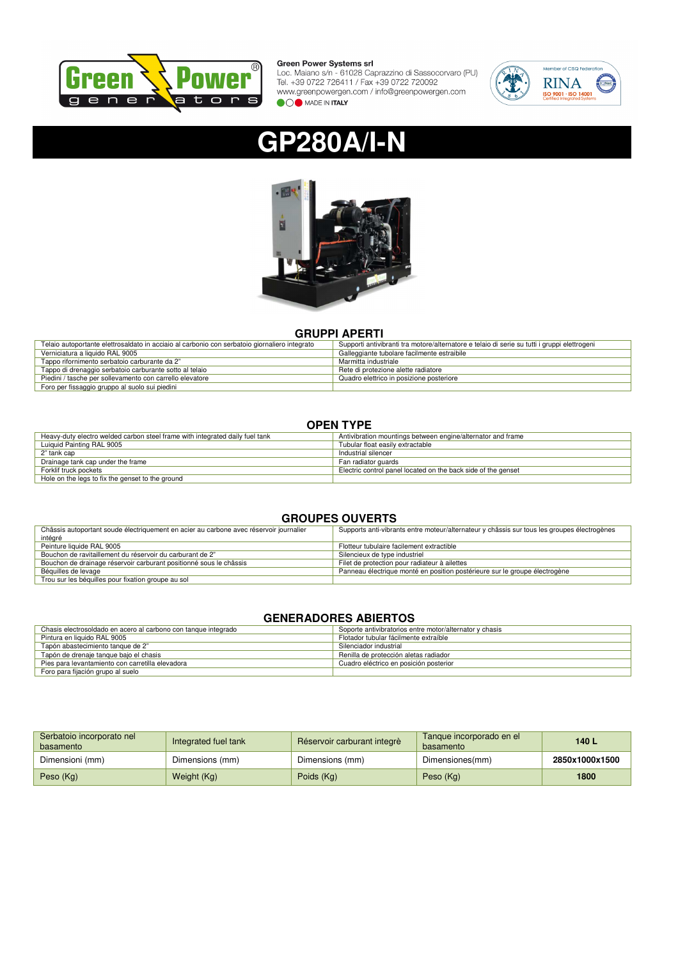

Green Power Systems Sri<br>Loc. Maiano s/n - 61028 Caprazzino di Sassocorvaro (PU)<br>Tel. +39 0722 726411 / Fax +39 0722 720092<br>www.greenpowergen.com / info@greenpowergen.com **OOO** MADE IN ITALY



# **GP280A/I-N**



## **GRUPPI APERTI**

| Telaio autoportante elettrosaldato in acciaio al carbonio con serbatoio giornaliero integrato | Supporti antivibranti tra motore/alternatore e telaio di serie su tutti i gruppi elettrogeni |
|-----------------------------------------------------------------------------------------------|----------------------------------------------------------------------------------------------|
| Verniciatura a liquido RAL 9005                                                               | Galleggiante tubolare facilmente estraibile                                                  |
| Tappo rifornimento serbatoio carburante da 2"                                                 | Marmitta industriale                                                                         |
| Tappo di drenaggio serbatoio carburante sotto al telaio                                       | Rete di protezione alette radiatore                                                          |
| Piedini / tasche per sollevamento con carrello elevatore                                      | Quadro elettrico in posizione posteriore                                                     |
| Foro per fissaggio gruppo al suolo sui piedini                                                |                                                                                              |

## **OPEN TYPE**

| Heavy-duty electro welded carbon steel frame with integrated daily fuel tank | Antivibration mountings between engine/alternator and frame   |
|------------------------------------------------------------------------------|---------------------------------------------------------------|
| Luiquid Painting RAL 9005                                                    | Tubular float easily extractable                              |
| 2" tank cap                                                                  | Industrial silencer                                           |
| Drainage tank cap under the frame                                            | Fan radiator guards                                           |
| Forklif truck pockets                                                        | Electric control panel located on the back side of the genset |
| Hole on the legs to fix the genset to the ground                             |                                                               |

## **GROUPES OUVERTS**

| Châssis autoportant soude électriquement en acier au carbone avec réservoir journalier | Supports anti-vibrants entre moteur/alternateur y châssis sur tous les groupes électrogènes |
|----------------------------------------------------------------------------------------|---------------------------------------------------------------------------------------------|
| intégré                                                                                |                                                                                             |
| Peinture liquide RAL 9005                                                              | Flotteur tubulaire facilement extractible                                                   |
| Bouchon de ravitaillement du réservoir du carburant de 2"                              | Silencieux de type industriel                                                               |
| Bouchon de drainage réservoir carburant positionné sous le châssis                     | Filet de protection pour radiateur à ailettes                                               |
| Béquilles de levage                                                                    | Panneau électrique monté en position postérieure sur le groupe électrogène                  |
| Trou sur les béquilles pour fixation groupe au sol                                     |                                                                                             |

## **GENERADORES ABIERTOS**

| Chasis electrosoldado en acero al carbono con tanque integrado | Soporte antivibratorios entre motor/alternator y chasis |
|----------------------------------------------------------------|---------------------------------------------------------|
| Pintura en liquido RAL 9005                                    | Flotador tubular fácilmente extraíble                   |
| Tapón abastecimiento tanque de 2"                              | Silenciador industrial                                  |
| Tapón de drenaje tanque bajo el chasis                         | Renilla de protección aletas radiador                   |
| Pies para levantamiento con carretilla elevadora               | Cuadro eléctrico en posición posterior                  |
| Foro para fijación grupo al suelo                              |                                                         |

| Serbatoio incorporato nel<br>basamento | Integrated fuel tank | Réservoir carburant integrè | Tanque incorporado en el<br>basamento | 140 L          |
|----------------------------------------|----------------------|-----------------------------|---------------------------------------|----------------|
| Dimensioni (mm)                        | Dimensions (mm)      | Dimensions (mm)             | Dimensiones(mm)                       | 2850x1000x1500 |
| Peso (Kg)                              | Weight (Kg)          | Poids (Kg)                  | Peso (Kg)                             | 1800           |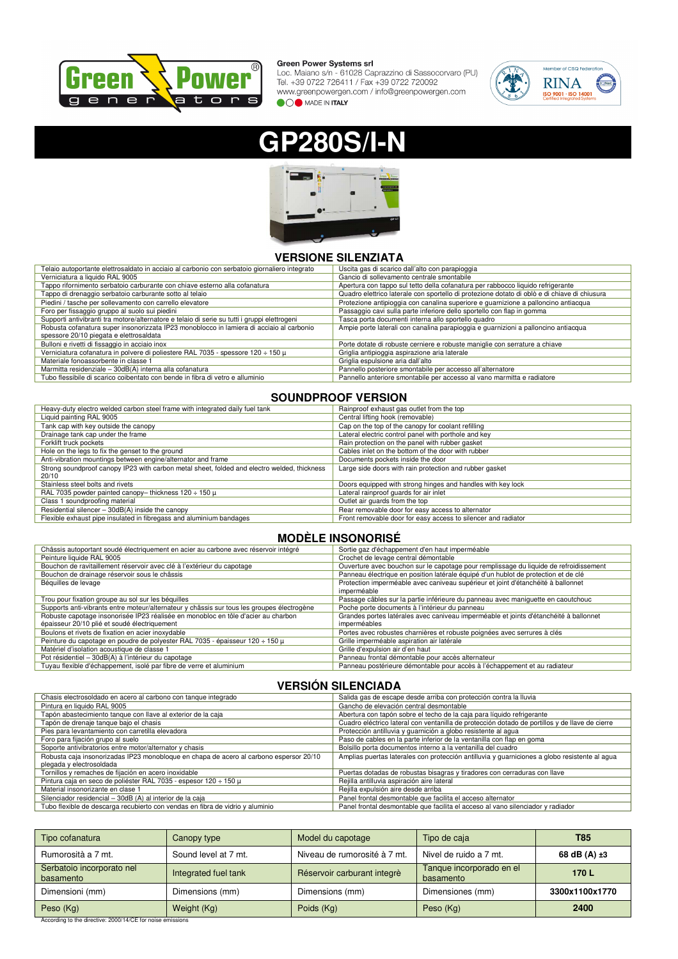

Green Power Systems sri<br>Loc. Maiano s/n - 61028 Caprazzino di Sassocorvaro (PU)<br>Tel. +39 0722 726411 / Fax +39 0722 720092<br>www.greenpowergen.com / info@greenpowergen.com **OOO** MADE IN ITALY



# **GP**



## **VERSIONE SILENZIATA**

| Telaio autoportante elettrosaldato in acciaio al carbonio con serbatoio giornaliero integrato | Uscita gas di scarico dall'alto con parapioggia                                              |
|-----------------------------------------------------------------------------------------------|----------------------------------------------------------------------------------------------|
| Verniciatura a liquido RAL 9005                                                               | Gancio di sollevamento centrale smontabile                                                   |
| Tappo rifornimento serbatoio carburante con chiave esterno alla cofanatura                    | Apertura con tappo sul tetto della cofanatura per rabbocco liquido refrigerante              |
| Tappo di drenaggio serbatoio carburante sotto al telaio                                       | Quadro elettrico laterale con sportello di protezione dotato di oblò e di chiave di chiusura |
| Piedini / tasche per sollevamento con carrello elevatore                                      | Protezione antipioggia con canalina superiore e guarnizione a palloncino antiacqua           |
| Foro per fissaggio gruppo al suolo sui piedini                                                | Passaggio cavi sulla parte inferiore dello sportello con flap in gomma                       |
| Supporti antivibranti tra motore/alternatore e telaio di serie su tutti i gruppi elettrogeni  | Tasca porta documenti interna allo sportello quadro                                          |
| Robusta cofanatura super insonorizzata IP23 monoblocco in lamiera di acciaio al carbonio      | Ampie porte laterali con canalina parapioggia e guarnizioni a palloncino antiacqua           |
| spessore 20/10 piegata e elettrosaldata                                                       |                                                                                              |
| Bulloni e rivetti di fissaggio in acciaio inox                                                | Porte dotate di robuste cerniere e robuste maniglie con serrature a chiave                   |
| Verniciatura cofanatura in polvere di poliestere RAL 7035 - spessore 120 ÷ 150 μ              | Griglia antipioggia aspirazione aria laterale                                                |
| Materiale fonoassorbente in classe 1                                                          | Griglia espulsione aria dall'alto                                                            |
| Marmitta residenziale - 30dB(A) interna alla cofanatura                                       | Pannello posteriore smontabile per accesso all'alternatore                                   |
| Tubo flessibile di scarico coibentato con bende in fibra di vetro e alluminio                 | Pannello anteriore smontabile per accesso al vano marmitta e radiatore                       |

## **SOUNDPROOF VERSION**

| Heavy-duty electro welded carbon steel frame with integrated daily fuel tank                | Rainproof exhaust gas outlet from the top                     |
|---------------------------------------------------------------------------------------------|---------------------------------------------------------------|
| Liquid painting RAL 9005                                                                    | Central lifting hook (removable)                              |
| Tank cap with key outside the canopy                                                        | Cap on the top of the canopy for coolant refilling            |
| Drainage tank cap under the frame                                                           | Lateral electric control panel with porthole and key          |
| Forklift truck pockets                                                                      | Rain protection on the panel with rubber gasket               |
| Hole on the legs to fix the genset to the ground                                            | Cables inlet on the bottom of the door with rubber            |
| Anti-vibration mountings between engine/alternator and frame                                | Documents pockets inside the door                             |
| Strong soundproof canopy IP23 with carbon metal sheet, folded and electro welded, thickness | Large side doors with rain protection and rubber gasket       |
| 20/10                                                                                       |                                                               |
| Stainless steel bolts and rivets                                                            | Doors equipped with strong hinges and handles with key lock   |
| RAL 7035 powder painted canopy-thickness 120 $\div$ 150 $\mu$                               | Lateral rainproof quards for air inlet                        |
| Class 1 soundproofing material                                                              | Outlet air quards from the top                                |
| Residential silencer - 30dB(A) inside the canopy                                            | Rear removable door for easy access to alternator             |
| Flexible exhaust pipe insulated in fibregass and aluminium bandages                         | Front removable door for easy access to silencer and radiator |

## **MODÈLE INSONORISÉ**

| Châssis autoportant soudé électriquement en acier au carbone avec réservoir intégré        | Sortie gaz d'échappement d'en haut imperméable                                        |
|--------------------------------------------------------------------------------------------|---------------------------------------------------------------------------------------|
| Peinture liquide RAL 9005                                                                  | Crochet de levage central démontable                                                  |
| Bouchon de ravitaillement réservoir avec clé à l'extérieur du capotage                     | Ouverture avec bouchon sur le capotage pour remplissage du liquide de refroidissement |
| Bouchon de drainage réservoir sous le châssis                                              | Panneau électrique en position latérale équipé d'un hublot de protection et de clé    |
| Béquilles de levage                                                                        | Protection imperméable avec caniveau supérieur et joint d'étanchéité à ballonnet      |
|                                                                                            | imperméable                                                                           |
| Trou pour fixation groupe au sol sur les béquilles                                         | Passage câbles sur la partie inférieure du panneau avec maniguette en caoutchouc      |
| Supports anti-vibrants entre moteur/alternateur y châssis sur tous les groupes électrogène | Poche porte documents à l'intérieur du panneau                                        |
| Robuste capotage insonorisée IP23 réalisée en monobloc en tôle d'acier au charbon          | Grandes portes latérales avec caniveau imperméable et joints d'étanchéité à ballonnet |
| épaisseur 20/10 plié et soudé électriquement                                               | imperméables                                                                          |
| Boulons et rivets de fixation en acier inoxydable                                          | Portes avec robustes charnières et robuste poignées avec serrures à clés              |
| Peinture du capotage en poudre de polyester RAL 7035 - épaisseur 120 $\div$ 150 $\mu$      | Grille imperméable aspiration air latérale                                            |
| Matériel d'isolation acoustique de classe 1                                                | Grille d'expulsion air d'en haut                                                      |
| Pot résidentiel – 30dB(A) à l'intérieur du capotage                                        | Panneau frontal démontable pour accès alternateur                                     |
| Tuyau flexible d'échappement, isolé par fibre de verre et aluminium                        | Panneau postérieure démontable pour accès à l'échappement et au radiateur             |
|                                                                                            |                                                                                       |

## **VERSIÓN SILENCIADA**

| Chasis electrosoldado en acero al carbono con tanque integrado                         | Salida gas de escape desde arriba con protección contra la lluvia                              |
|----------------------------------------------------------------------------------------|------------------------------------------------------------------------------------------------|
| Pintura en liguido RAL 9005                                                            | Gancho de elevación central desmontable                                                        |
| Tapón abastecimiento tanque con llave al exterior de la caja                           | Abertura con tapón sobre el techo de la caja para líquido refrigerante                         |
| Tapón de drenaje tanque bajo el chasis                                                 | Cuadro eléctrico lateral con ventanilla de protección dotado de portillos y de llave de cierre |
| Pies para levantamiento con carretilla elevadora                                       | Protección antilluvia y quarnición a globo resistente al agua                                  |
| Foro para fijación grupo al suelo                                                      | Paso de cables en la parte inferior de la ventanilla con flap en goma                          |
| Soporte antivibratorios entre motor/alternator y chasis                                | Bolsillo porta documentos interno a la ventanilla del cuadro                                   |
| Robusta caja insonorizadas IP23 monobloque en chapa de acero al carbono espersor 20/10 | Amplias puertas laterales con protección antilluvia y quarniciones a globo resistente al aqua  |
| plegada y electrosoldada                                                               |                                                                                                |
| Tornillos y remaches de fijación en acero inoxidable                                   | Puertas dotadas de robustas bisagras y tiradores con cerraduras con llave                      |
| Pintura caja en seco de poliéster RAL 7035 - espesor 120 ÷ 150 µ                       | Rejilla antilluvia aspiración aire lateral                                                     |
| Material insonorizante en clase 1                                                      | Rejilla expulsión aire desde arriba                                                            |
| Silenciador residencial - 30dB (A) al interior de la caja                              | Panel frontal desmontable que facilita el acceso alternator                                    |
| Tubo flexible de descarga recubierto con vendas en fibra de vidrio y aluminio          | Panel frontal desmontable que facilita el acceso al vano silenciador y radiador                |

| Tipo cofanatura                        | Canopy type          | Model du capotage            | Tipo de caja                          | <b>T85</b>        |
|----------------------------------------|----------------------|------------------------------|---------------------------------------|-------------------|
| Rumorosità a 7 mt.                     | Sound level at 7 mt. | Niveau de rumorosité à 7 mt. | Nivel de ruido a 7 mt.                | 68 dB (A) $\pm 3$ |
| Serbatoio incorporato nel<br>basamento | Integrated fuel tank | Réservoir carburant integrè  | Tanque incorporado en el<br>basamento | 170 L             |
| Dimensioni (mm)                        | Dimensions (mm)      | Dimensions (mm)              | Dimensiones (mm)                      | 3300x1100x1770    |
| Peso (Kg)                              | Weight (Kg)          | Poids (Kg)                   | Peso (Kg)                             | 2400              |

According to the directive: 2000/14/CE for noise emissions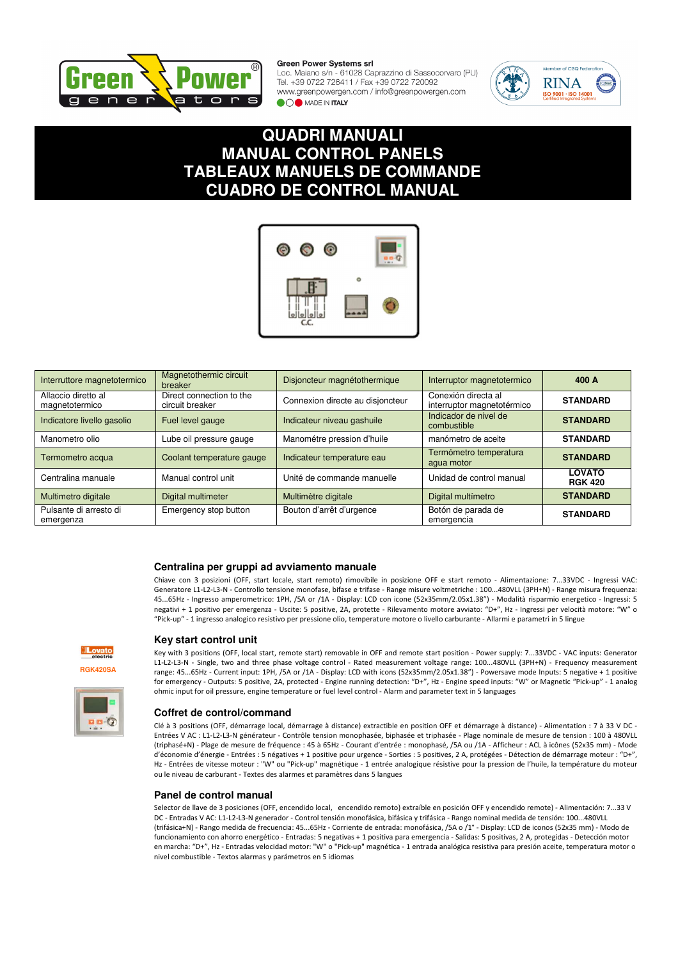

Loc. Majano s/n - 61028 Caprazzino di Sassocorvaro (PU) Tel. +39 0722 726411 / Fax +39 0722 720092 www.greenpowergen.com / info@greenpowergen.com **OO** MADE IN ITALY



## **QUADRI MANUALI MANUAL CONTROL PANELS TABLEAUX MANUELS DE COMMANDE CUADRO DE CONTROL MANUAL**



| Interruttore magnetotermico           | Magnetothermic circuit<br>breaker           | Disjoncteur magnétothermique     | Interruptor magnetotermico                        | 400 A                           |
|---------------------------------------|---------------------------------------------|----------------------------------|---------------------------------------------------|---------------------------------|
| Allaccio diretto al<br>magnetotermico | Direct connection to the<br>circuit breaker | Connexion directe au disjoncteur | Conexión directa al<br>interruptor magnetotérmico | <b>STANDARD</b>                 |
| Indicatore livello gasolio            | Fuel level gauge                            | Indicateur niveau gashuile       | Indicador de nivel de<br>combustible              | <b>STANDARD</b>                 |
| Manometro olio                        | Lube oil pressure gauge                     | Manométre pression d'huile       | manómetro de aceite                               | <b>STANDARD</b>                 |
| Termometro acqua                      | Coolant temperature gauge                   | Indicateur temperature eau       | Termómetro temperatura<br>aqua motor              | <b>STANDARD</b>                 |
| Centralina manuale                    | Manual control unit                         | Unité de commande manuelle       | Unidad de control manual                          | <b>LOVATO</b><br><b>RGK 420</b> |
| Multimetro digitale                   | Digital multimeter                          | Multimètre digitale              | Digital multímetro                                | <b>STANDARD</b>                 |
| Pulsante di arresto di<br>emergenza   | Emergency stop button                       | Bouton d'arrêt d'urgence         | Botón de parada de<br>emergencia                  | <b>STANDARD</b>                 |

### **Centralina per gruppi ad avviamento manuale**

Chiave con 3 posizioni (OFF, start locale, start remoto) rimovibile in posizione OFF e start remoto - Alimentazione: 7...33VDC - Ingressi VAC: Generatore L1-L2-L3-N - Controllo tensione monofase, bifase e trifase - Range misure voltmetriche : 100...480VLL (3PH+N) - Range misura frequenza: 45...65Hz - Ingresso amperometrico: 1PH, /5A or /1A - Display: LCD con icone (52x35mm/2.05x1.38") - Modalità risparmio energetico - Ingressi: 5 negativi + 1 positivo per emergenza - Uscite: 5 positive, 2A, protette - Rilevamento motore avviato: "D+", Hz - Ingressi per velocità motore: "W" o "Pick-up" - 1 ingresso analogico resistivo per pressione olio, temperature motore o livello carburante - Allarmi e parametri in 5 lingue



## **Key start control unit**

**RGK420SA**



#### Key with 3 positions (OFF, local start, remote start) removable in OFF and remote start position - Power supply: 7...33VDC - VAC inputs: Generator L1-L2-L3-N - Single, two and three phase voltage control - Rated measurement voltage range: 100...480VLL (3PH+N) - Frequency measurement range: 45...65Hz - Current input: 1PH, /5A or /1A - Display: LCD with icons (52x35mm/2.05x1.38") - Powersave mode Inputs: 5 negative + 1 positive for emergency - Outputs: 5 positive, 2A, protected - Engine running detection: "D+", Hz - Engine speed inputs: "W" or Magnetic "Pick-up" - 1 analog ohmic input for oil pressure, engine temperature or fuel level control - Alarm and parameter text in 5 languages

### **Coffret de control/command**

Clé à 3 positions (OFF, démarrage local, démarrage à distance) extractible en position OFF et démarrage à distance) - Alimentation : 7 à 33 V DC - Entrées V AC : L1-L2-L3-N générateur - Contrôle tension monophasée, biphasée et triphasée - Plage nominale de mesure de tension : 100 à 480VLL (triphasé+N) - Plage de mesure de fréquence : 45 à 65Hz - Courant d'entrée : monophasé, /5A ou /1A - Afficheur : ACL à icônes (52x35 mm) - Mode d'économie d'énergie - Entrées : 5 négatives + 1 positive pour urgence - Sorties : 5 positives, 2 A, protégées - Détection de démarrage moteur : "D+", Hz - Entrées de vitesse moteur : "W" ou "Pick-up" magnétique - 1 entrée analogique résistive pour la pression de l'huile, la température du moteur ou le niveau de carburant - Textes des alarmes et paramètres dans 5 langues

#### **Panel de control manual**

Selector de llave de 3 posiciones (OFF, encendido local, encendido remoto) extraíble en posición OFF y encendido remote) - Alimentación: 7...33 V DC - Entradas V AC: L1-L2-L3-N generador - Control tensión monofásica, bifásica y trifásica - Rango nominal medida de tensión: 100...480VLL (trifásica+N) - Rango medida de frecuencia: 45...65Hz - Corriente de entrada: monofásica, /5A o /1° - Display: LCD de iconos (52x35 mm) - Modo de funcionamiento con ahorro energético - Entradas: 5 negativas + 1 positiva para emergencia - Salidas: 5 positivas, 2 A, protegidas - Detección motor en marcha: "D+", Hz - Entradas velocidad motor: "W" o "Pick-up" magnética - 1 entrada analógica resistiva para presión aceite, temperatura motor o nivel combustible - Textos alarmas y parámetros en 5 idiomas